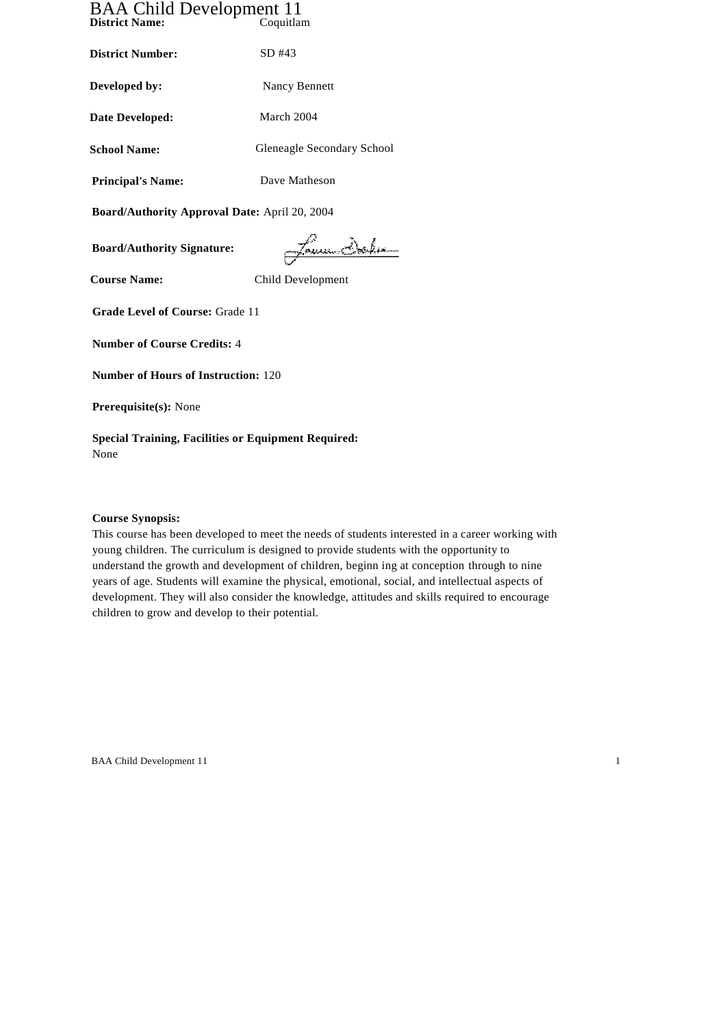# BAA Child Development 11 **District Name:** Coquitlam

**District Number:** SD #43 **Developed by:** Nancy Bennett **Date Developed:** March 2004 **School Name:** Gleneagle Secondary School **Principal's Name:** Dave Matheson

**Board/Authority Approval Date:** April 20, 2004

**Board/Authority Signature:**

Jamesbehr

**Course Name:** Child Development

**Grade Level of Course:** Grade 11

**Number of Course Credits:** 4

**Number of Hours of Instruction:** 120

**Prerequisite(s):** None

**Special Training, Facilities or Equipment Required:** None

# **Course Synopsis:**

This course has been developed to meet the needs of students interested in a career working with young children. The curriculum is designed to provide students with the opportunity to understand the growth and development of children, beginn ing at conception through to nine years of age. Students will examine the physical, emotional, social, and intellectual aspects of development. They will also consider the knowledge, attitudes and skills required to encourage children to grow and develop to their potential.

BAA Child Development 11 1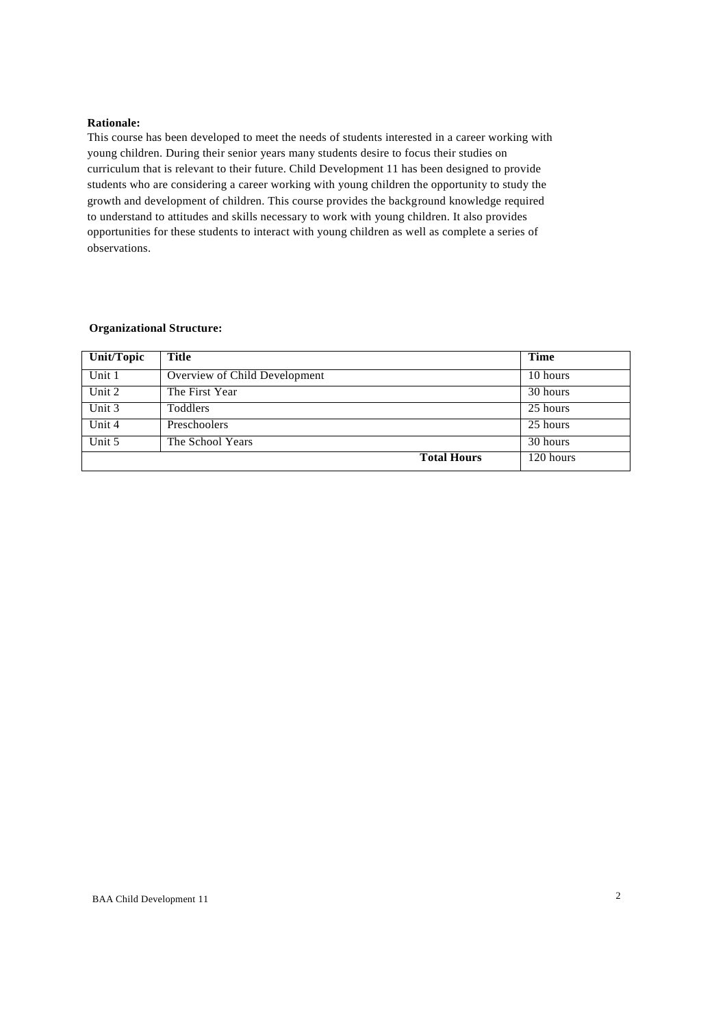### **Rationale:**

This course has been developed to meet the needs of students interested in a career working with young children. During their senior years many students desire to focus their studies on curriculum that is relevant to their future. Child Development 11 has been designed to provide students who are considering a career working with young children the opportunity to study the growth and development of children. This course provides the background knowledge required to understand to attitudes and skills necessary to work with young children. It also provides opportunities for these students to interact with young children as well as complete a series of observations.

### **Organizational Structure:**

| Unit/Topic | Title                         | <b>Time</b> |
|------------|-------------------------------|-------------|
| Unit 1     | Overview of Child Development | 10 hours    |
| Unit 2     | The First Year                | 30 hours    |
| Unit 3     | Toddlers                      | 25 hours    |
| Unit 4     | Preschoolers                  | 25 hours    |
| Unit 5     | The School Years              | 30 hours    |
|            | <b>Total Hours</b>            | 120 hours   |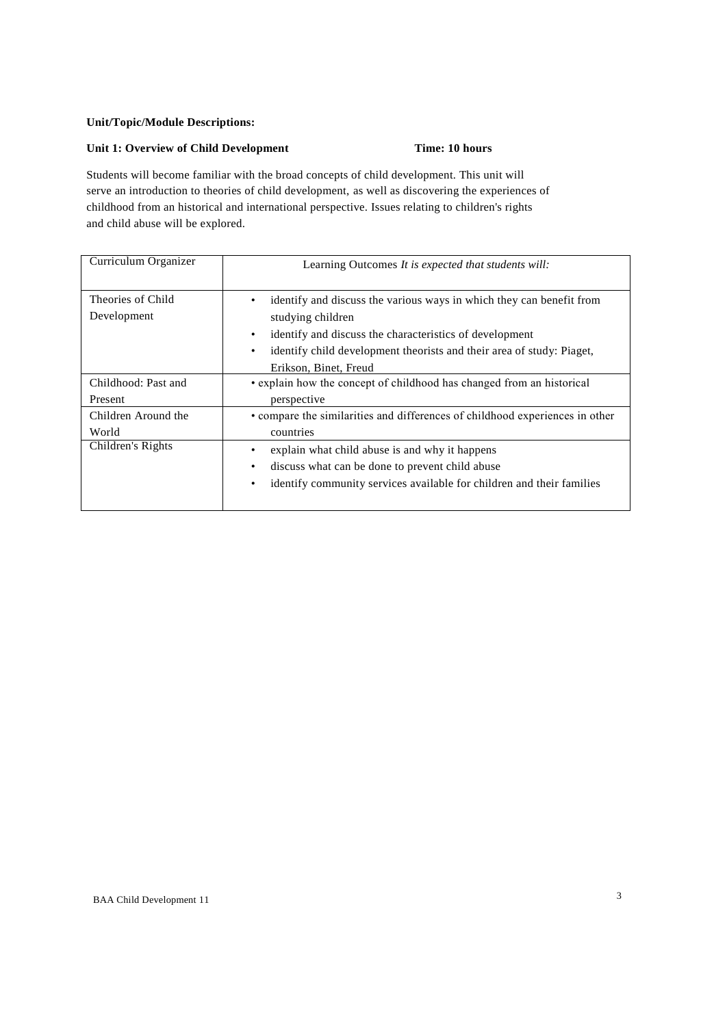# **Unit/Topic/Module Descriptions:**

# **Unit 1: Overview of Child Development Time: 10 hours**

Students will become familiar with the broad concepts of child development. This unit will serve an introduction to theories of child development, as well as discovering the experiences of childhood from an historical and international perspective. Issues relating to children's rights and child abuse will be explored.

| Curriculum Organizer             | Learning Outcomes It is expected that students will:                                                                                                                                                                                                                                  |
|----------------------------------|---------------------------------------------------------------------------------------------------------------------------------------------------------------------------------------------------------------------------------------------------------------------------------------|
| Theories of Child<br>Development | identify and discuss the various ways in which they can benefit from<br>٠<br>studying children<br>identify and discuss the characteristics of development<br>$\bullet$<br>identify child development theorists and their area of study: Piaget,<br>$\bullet$<br>Erikson, Binet, Freud |
| Childhood: Past and              | • explain how the concept of childhood has changed from an historical                                                                                                                                                                                                                 |
| Present                          | perspective                                                                                                                                                                                                                                                                           |
| Children Around the              | • compare the similarities and differences of childhood experiences in other                                                                                                                                                                                                          |
| World                            | countries                                                                                                                                                                                                                                                                             |
| Children's Rights                | explain what child abuse is and why it happens<br>٠<br>discuss what can be done to prevent child abuse<br>$\bullet$<br>identify community services available for children and their families<br>$\bullet$                                                                             |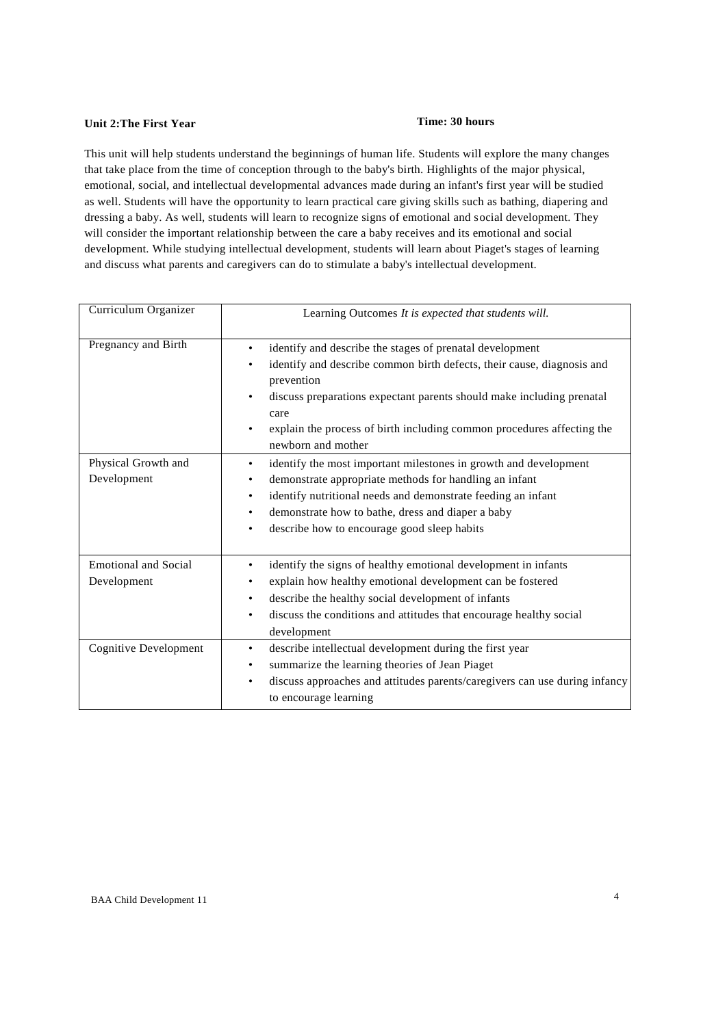# **Unit 2: The First Year Time: 30 hours**

This unit will help students understand the beginnings of human life. Students will explore the many changes that take place from the time of conception through to the baby's birth. Highlights of the major physical, emotional, social, and intellectual developmental advances made during an infant's first year will be studied as well. Students will have the opportunity to learn practical care giving skills such as bathing, diapering and dressing a baby. As well, students will learn to recognize signs of emotional and social development. They will consider the important relationship between the care a baby receives and its emotional and social development. While studying intellectual development, students will learn about Piaget's stages of learning and discuss what parents and caregivers can do to stimulate a baby's intellectual development.

| Curriculum Organizer                       | Learning Outcomes It is expected that students will.                                                                                                                                                                                                                                                                                                            |
|--------------------------------------------|-----------------------------------------------------------------------------------------------------------------------------------------------------------------------------------------------------------------------------------------------------------------------------------------------------------------------------------------------------------------|
| Pregnancy and Birth                        | identify and describe the stages of prenatal development<br>٠<br>identify and describe common birth defects, their cause, diagnosis and<br>prevention<br>discuss preparations expectant parents should make including prenatal<br>care<br>explain the process of birth including common procedures affecting the<br>newborn and mother                          |
| Physical Growth and<br>Development         | identify the most important milestones in growth and development<br>$\bullet$<br>demonstrate appropriate methods for handling an infant<br>$\bullet$<br>identify nutritional needs and demonstrate feeding an infant<br>$\bullet$<br>demonstrate how to bathe, dress and diaper a baby<br>$\bullet$<br>describe how to encourage good sleep habits<br>$\bullet$ |
| <b>Emotional and Social</b><br>Development | identify the signs of healthy emotional development in infants<br>٠<br>explain how healthy emotional development can be fostered<br>٠<br>describe the healthy social development of infants<br>$\bullet$<br>discuss the conditions and attitudes that encourage healthy social<br>$\bullet$<br>development                                                      |
| Cognitive Development                      | describe intellectual development during the first year<br>$\bullet$<br>summarize the learning theories of Jean Piaget<br>$\bullet$<br>discuss approaches and attitudes parents/caregivers can use during infancy<br>$\bullet$<br>to encourage learning                                                                                                         |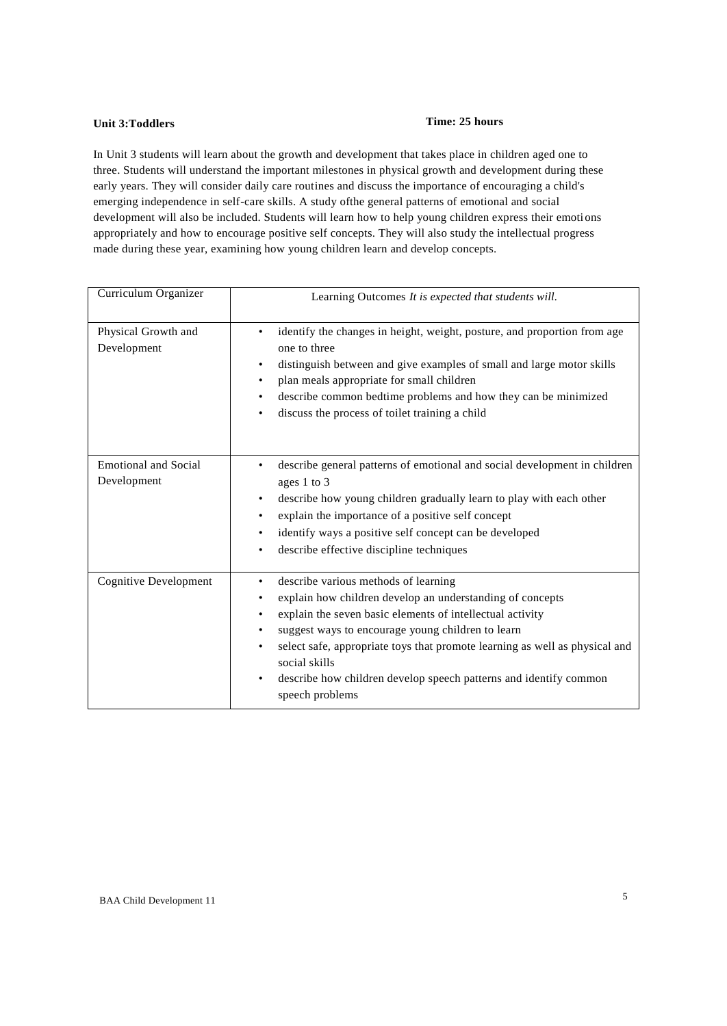# **Unit 3:Toddlers Time: 25 hours**

In Unit 3 students will learn about the growth and development that takes place in children aged one to three. Students will understand the important milestones in physical growth and development during these early years. They will consider daily care routines and discuss the importance of encouraging a child's emerging independence in self-care skills. A study ofthe general patterns of emotional and social development will also be included. Students will learn how to help young children express their emotions appropriately and how to encourage positive self concepts. They will also study the intellectual progress made during these year, examining how young children learn and develop concepts.

| Curriculum Organizer                       | Learning Outcomes It is expected that students will.                                                                                                                                                                                                                                                                                                                                                                                    |
|--------------------------------------------|-----------------------------------------------------------------------------------------------------------------------------------------------------------------------------------------------------------------------------------------------------------------------------------------------------------------------------------------------------------------------------------------------------------------------------------------|
| Physical Growth and<br>Development         | identify the changes in height, weight, posture, and proportion from age<br>٠<br>one to three<br>distinguish between and give examples of small and large motor skills<br>٠<br>plan meals appropriate for small children<br>٠<br>describe common bedtime problems and how they can be minimized<br>٠<br>discuss the process of toilet training a child<br>٠                                                                             |
| <b>Emotional and Social</b><br>Development | describe general patterns of emotional and social development in children<br>ages 1 to 3<br>describe how young children gradually learn to play with each other<br>$\bullet$<br>explain the importance of a positive self concept<br>٠<br>identify ways a positive self concept can be developed<br>٠<br>describe effective discipline techniques<br>٠                                                                                  |
| <b>Cognitive Development</b>               | describe various methods of learning<br>$\bullet$<br>explain how children develop an understanding of concepts<br>٠<br>explain the seven basic elements of intellectual activity<br>suggest ways to encourage young children to learn<br>select safe, appropriate toys that promote learning as well as physical and<br>٠<br>social skills<br>describe how children develop speech patterns and identify common<br>٠<br>speech problems |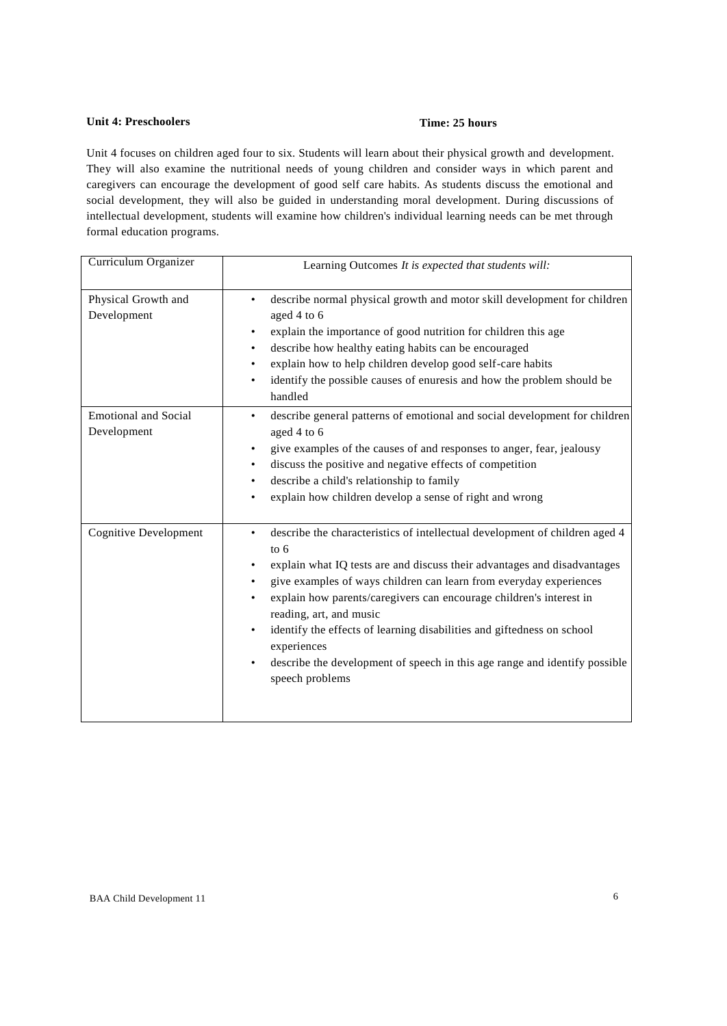# **Unit 4: Preschoolers Time: 25 hours**

Unit 4 focuses on children aged four to six. Students will learn about their physical growth and development. They will also examine the nutritional needs of young children and consider ways in which parent and caregivers can encourage the development of good self care habits. As students discuss the emotional and social development, they will also be guided in understanding moral development. During discussions of intellectual development, students will examine how children's individual learning needs can be met through formal education programs.

| Curriculum Organizer                       | Learning Outcomes It is expected that students will:                                                                                                                                                                                                                                                                                                                                                                                                                                                                                                                                                 |
|--------------------------------------------|------------------------------------------------------------------------------------------------------------------------------------------------------------------------------------------------------------------------------------------------------------------------------------------------------------------------------------------------------------------------------------------------------------------------------------------------------------------------------------------------------------------------------------------------------------------------------------------------------|
| Physical Growth and<br>Development         | describe normal physical growth and motor skill development for children<br>$\bullet$<br>aged 4 to 6<br>explain the importance of good nutrition for children this age<br>$\bullet$<br>describe how healthy eating habits can be encouraged<br>$\bullet$<br>explain how to help children develop good self-care habits<br>$\bullet$<br>identify the possible causes of enuresis and how the problem should be<br>$\bullet$<br>handled                                                                                                                                                                |
| <b>Emotional and Social</b><br>Development | describe general patterns of emotional and social development for children<br>$\bullet$<br>aged 4 to 6<br>give examples of the causes of and responses to anger, fear, jealousy<br>٠<br>discuss the positive and negative effects of competition<br>$\bullet$<br>describe a child's relationship to family<br>$\bullet$<br>explain how children develop a sense of right and wrong<br>$\bullet$                                                                                                                                                                                                      |
| <b>Cognitive Development</b>               | describe the characteristics of intellectual development of children aged 4<br>$\bullet$<br>to $6$<br>explain what IQ tests are and discuss their advantages and disadvantages<br>$\bullet$<br>give examples of ways children can learn from everyday experiences<br>$\bullet$<br>explain how parents/caregivers can encourage children's interest in<br>reading, art, and music<br>identify the effects of learning disabilities and giftedness on school<br>$\bullet$<br>experiences<br>describe the development of speech in this age range and identify possible<br>$\bullet$<br>speech problems |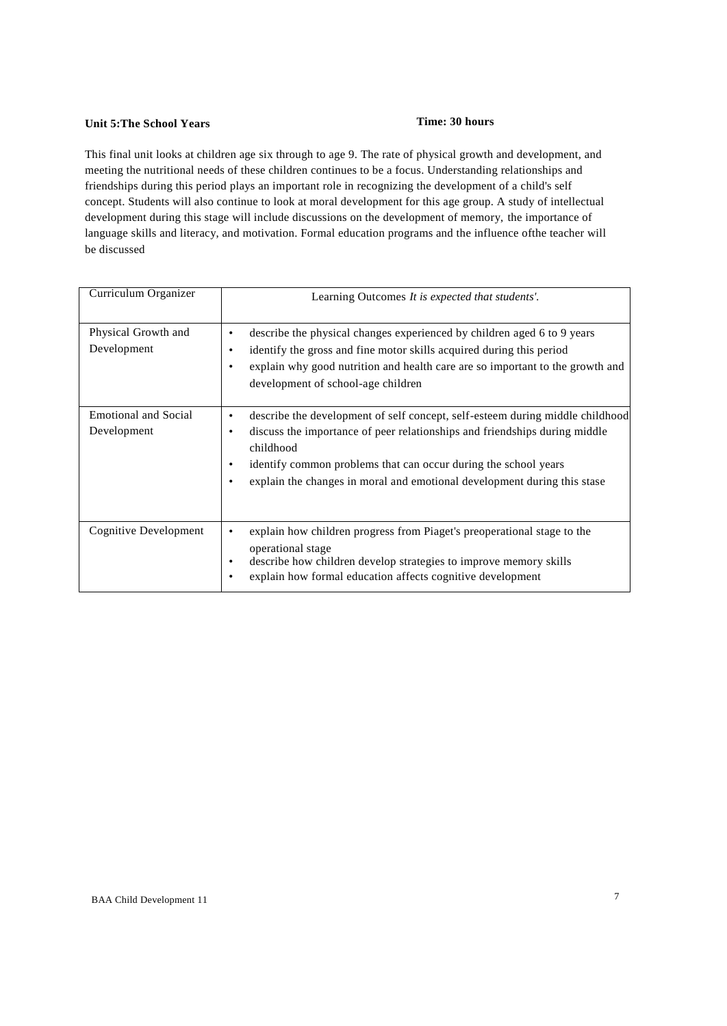# **Unit 5:The School Years Time: 30 hours**

This final unit looks at children age six through to age 9. The rate of physical growth and development, and meeting the nutritional needs of these children continues to be a focus. Understanding relationships and friendships during this period plays an important role in recognizing the development of a child's self concept. Students will also continue to look at moral development for this age group. A study of intellectual development during this stage will include discussions on the development of memory, the importance of language skills and literacy, and motivation. Formal education programs and the influence ofthe teacher will be discussed

| Curriculum Organizer                       | Learning Outcomes It is expected that students'.                                                                                                                                                                                                                                                                        |
|--------------------------------------------|-------------------------------------------------------------------------------------------------------------------------------------------------------------------------------------------------------------------------------------------------------------------------------------------------------------------------|
| Physical Growth and<br>Development         | describe the physical changes experienced by children aged 6 to 9 years<br>identify the gross and fine motor skills acquired during this period<br>explain why good nutrition and health care are so important to the growth and<br>٠<br>development of school-age children                                             |
| <b>Emotional and Social</b><br>Development | describe the development of self concept, self-esteem during middle childhood<br>discuss the importance of peer relationships and friendships during middle<br>childhood<br>identify common problems that can occur during the school years<br>explain the changes in moral and emotional development during this stase |
| Cognitive Development                      | explain how children progress from Piaget's preoperational stage to the<br>٠<br>operational stage<br>describe how children develop strategies to improve memory skills<br>٠<br>explain how formal education affects cognitive development                                                                               |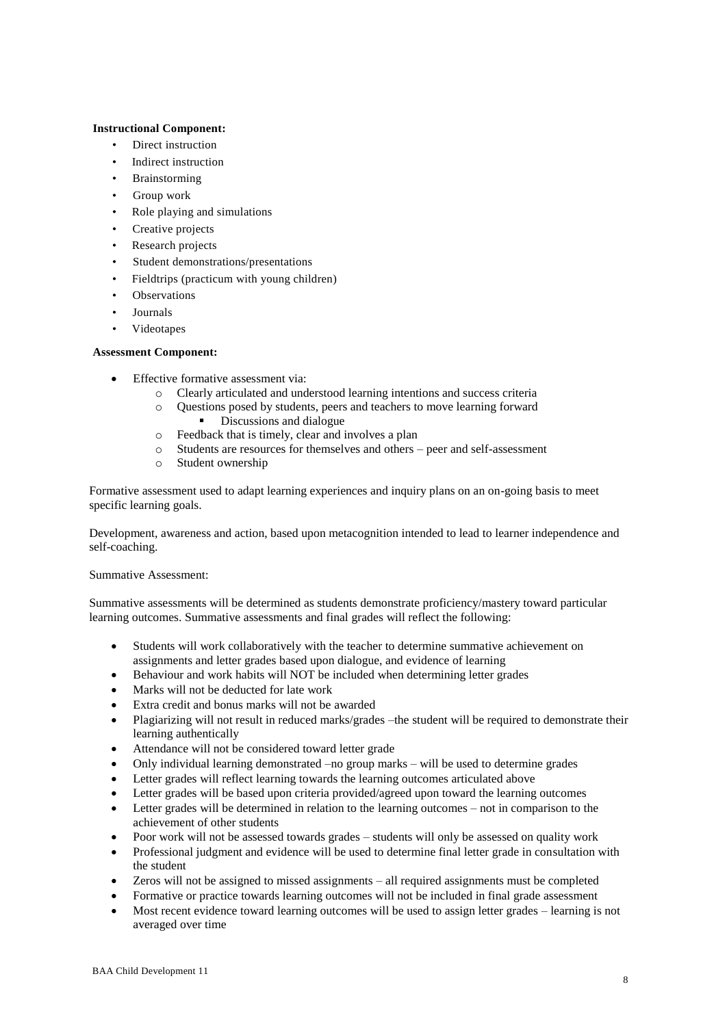# **Instructional Component:**

- Direct instruction
- Indirect instruction
- **Brainstorming**
- Group work
- Role playing and simulations
- Creative projects
- Research projects
- Student demonstrations/presentations
- Fieldtrips (practicum with young children)
- **Observations**
- Journals
- Videotapes

# **Assessment Component:**

- Effective formative assessment via:
	- o Clearly articulated and understood learning intentions and success criteria
	- o Questions posed by students, peers and teachers to move learning forward Discussions and dialogue
	- o Feedback that is timely, clear and involves a plan
	- o Students are resources for themselves and others peer and self-assessment
	- o Student ownership

Formative assessment used to adapt learning experiences and inquiry plans on an on-going basis to meet specific learning goals.

Development, awareness and action, based upon metacognition intended to lead to learner independence and self-coaching.

### Summative Assessment:

Summative assessments will be determined as students demonstrate proficiency/mastery toward particular learning outcomes. Summative assessments and final grades will reflect the following:

- Students will work collaboratively with the teacher to determine summative achievement on assignments and letter grades based upon dialogue, and evidence of learning
- Behaviour and work habits will NOT be included when determining letter grades
- Marks will not be deducted for late work
- Extra credit and bonus marks will not be awarded
- Plagiarizing will not result in reduced marks/grades –the student will be required to demonstrate their learning authentically
- Attendance will not be considered toward letter grade
- Only individual learning demonstrated –no group marks will be used to determine grades
- Letter grades will reflect learning towards the learning outcomes articulated above
- Letter grades will be based upon criteria provided/agreed upon toward the learning outcomes
- Letter grades will be determined in relation to the learning outcomes not in comparison to the achievement of other students
- Poor work will not be assessed towards grades students will only be assessed on quality work
- Professional judgment and evidence will be used to determine final letter grade in consultation with the student
- Zeros will not be assigned to missed assignments all required assignments must be completed
- Formative or practice towards learning outcomes will not be included in final grade assessment
- Most recent evidence toward learning outcomes will be used to assign letter grades learning is not averaged over time